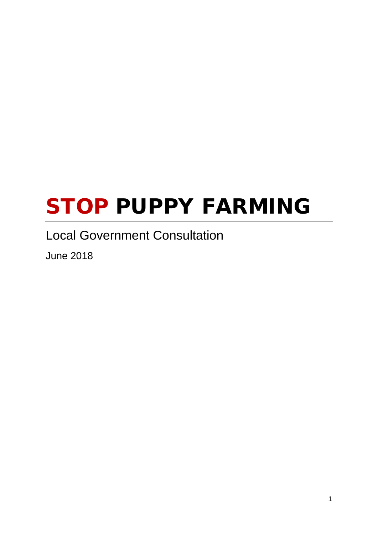# STOP PUPPY FARMING

### Local Government Consultation

June 2018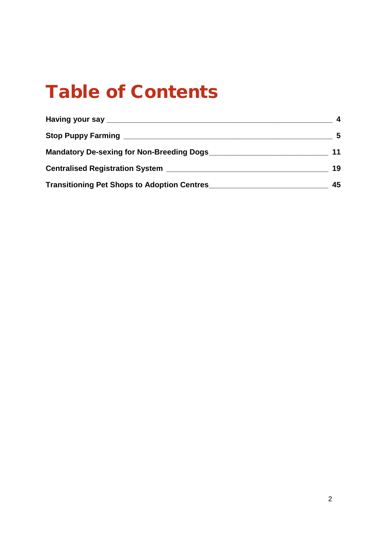# Table of Contents

| Having your say __________________                 |    |
|----------------------------------------------------|----|
| Stop Puppy Farming ______                          | -5 |
| Mandatory De-sexing for Non-Breeding Dogs          | 11 |
| <b>Centralised Registration System</b>             | 19 |
| <b>Transitioning Pet Shops to Adoption Centres</b> | 45 |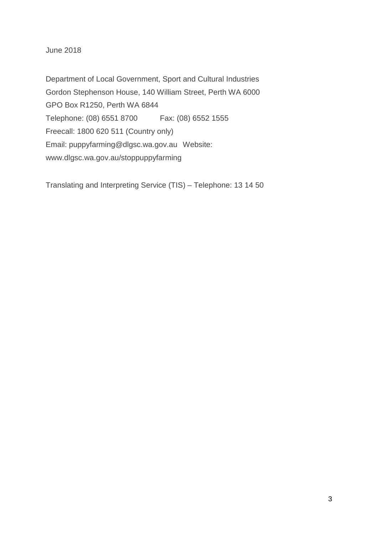June 2018

Department of Local Government, Sport and Cultural Industries Gordon Stephenson House, 140 William Street, Perth WA 6000 GPO Box R1250, Perth WA 6844 Telephone: (08) 6551 8700 Fax: (08) 6552 1555 Freecall: 1800 620 511 (Country only) Email: [puppyfarming@dlgsc.wa.gov.au](mailto:puppyfarming@dlgsc.wa.gov.au) Website: [www.dlgsc.wa.gov.au/](http://www.dlgsc.wa.gov.au/)stoppuppyfarming

Translating and Interpreting Service (TIS) – Telephone: 13 14 50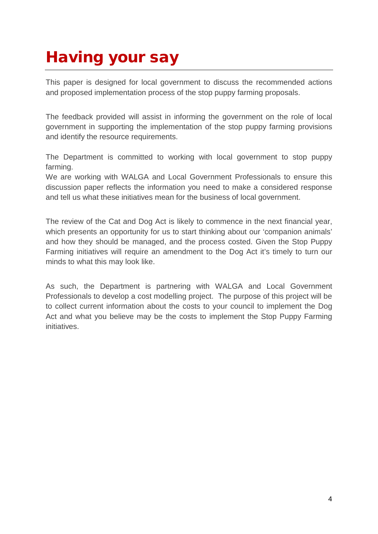## <span id="page-3-0"></span>Having your say

This paper is designed for local government to discuss the recommended actions and proposed implementation process of the stop puppy farming proposals.

The feedback provided will assist in informing the government on the role of local government in supporting the implementation of the stop puppy farming provisions and identify the resource requirements.

The Department is committed to working with local government to stop puppy farming.

We are working with WALGA and Local Government Professionals to ensure this discussion paper reflects the information you need to make a considered response and tell us what these initiatives mean for the business of local government.

The review of the Cat and Dog Act is likely to commence in the next financial year, which presents an opportunity for us to start thinking about our 'companion animals' and how they should be managed, and the process costed. Given the Stop Puppy Farming initiatives will require an amendment to the Dog Act it's timely to turn our minds to what this may look like.

As such, the Department is partnering with WALGA and Local Government Professionals to develop a cost modelling project. The purpose of this project will be to collect current information about the costs to your council to implement the Dog Act and what you believe may be the costs to implement the Stop Puppy Farming initiatives.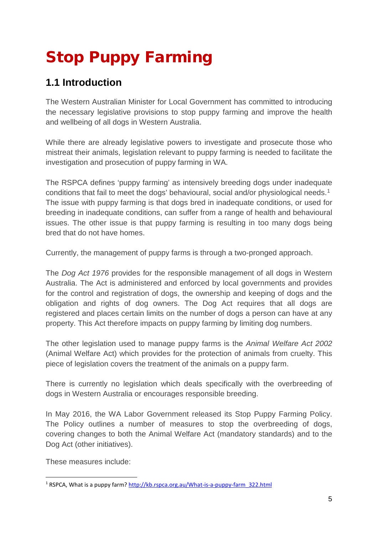# <span id="page-4-0"></span>Stop Puppy Farming

### **1.1 Introduction**

The Western Australian Minister for Local Government has committed to introducing the necessary legislative provisions to stop puppy farming and improve the health and wellbeing of all dogs in Western Australia.

While there are already legislative powers to investigate and prosecute those who mistreat their animals, legislation relevant to puppy farming is needed to facilitate the investigation and prosecution of puppy farming in WA.

The RSPCA defines 'puppy farming' as intensively breeding dogs under inadequate conditions that fail to meet the dogs' behavioural, social and/or physiological needs[.1](#page-4-1) The issue with puppy farming is that dogs bred in inadequate conditions, or used for breeding in inadequate conditions, can suffer from a range of health and behavioural issues. The other issue is that puppy farming is resulting in too many dogs being bred that do not have homes.

Currently, the management of puppy farms is through a two-pronged approach.

The *Dog Act 1976* provides for the responsible management of all dogs in Western Australia. The Act is administered and enforced by local governments and provides for the control and registration of dogs, the ownership and keeping of dogs and the obligation and rights of dog owners. The Dog Act requires that all dogs are registered and places certain limits on the number of dogs a person can have at any property. This Act therefore impacts on puppy farming by limiting dog numbers.

The other legislation used to manage puppy farms is the *Animal Welfare Act 2002* (Animal Welfare Act) which provides for the protection of animals from cruelty. This piece of legislation covers the treatment of the animals on a puppy farm.

There is currently no legislation which deals specifically with the overbreeding of dogs in Western Australia or encourages responsible breeding.

In May 2016, the WA Labor Government released its Stop Puppy Farming Policy. The Policy outlines a number of measures to stop the overbreeding of dogs, covering changes to both the Animal Welfare Act (mandatory standards) and to the Dog Act (other initiatives).

These measures include:

<span id="page-4-1"></span> <sup>1</sup> RSPCA, What is a puppy farm[? http://kb.rspca.org.au/What-is-a-puppy-farm\\_322.html](http://kb.rspca.org.au/What-is-a-puppy-farm_322.html)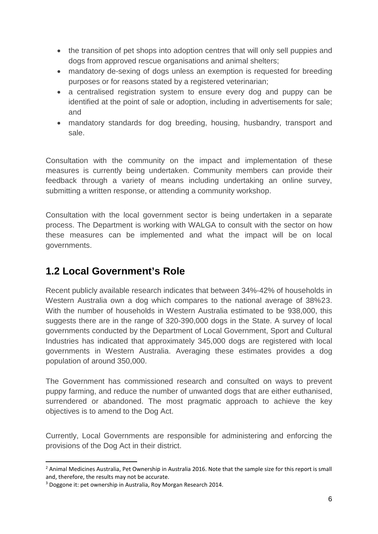- the transition of pet shops into adoption centres that will only sell puppies and dogs from approved rescue organisations and animal shelters;
- mandatory de-sexing of dogs unless an exemption is requested for breeding purposes or for reasons stated by a registered veterinarian;
- a centralised registration system to ensure every dog and puppy can be identified at the point of sale or adoption, including in advertisements for sale; and
- mandatory standards for dog breeding, housing, husbandry, transport and sale.

Consultation with the community on the impact and implementation of these measures is currently being undertaken. Community members can provide their feedback through a variety of means including undertaking an online survey, submitting a written response, or attending a community workshop.

Consultation with the local government sector is being undertaken in a separate process. The Department is working with WALGA to consult with the sector on how these measures can be implemented and what the impact will be on local governments.

### **1.2 Local Government's Role**

Recent publicly available research indicates that between 34%-42% of households in Western Australia own a dog which compares to the national average of 38%[2](#page-5-0)[3](#page-5-1). With the number of households in Western Australia estimated to be 938,000, this suggests there are in the range of 320-390,000 dogs in the State. A survey of local governments conducted by the Department of Local Government, Sport and Cultural Industries has indicated that approximately 345,000 dogs are registered with local governments in Western Australia. Averaging these estimates provides a dog population of around 350,000.

The Government has commissioned research and consulted on ways to prevent puppy farming, and reduce the number of unwanted dogs that are either euthanised, surrendered or abandoned. The most pragmatic approach to achieve the key objectives is to amend to the Dog Act.

Currently, Local Governments are responsible for administering and enforcing the provisions of the Dog Act in their district.

<span id="page-5-0"></span><sup>&</sup>lt;sup>2</sup> Animal Medicines Australia, Pet Ownership in Australia 2016. Note that the sample size for this report is small and, therefore, the results may not be accurate.

<span id="page-5-1"></span><sup>3</sup> Doggone it: pet ownership in Australia, Roy Morgan Research 2014.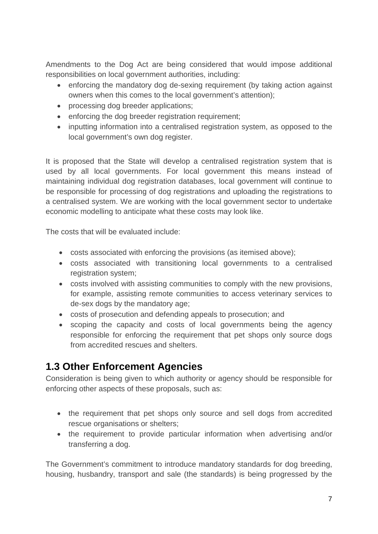Amendments to the Dog Act are being considered that would impose additional responsibilities on local government authorities, including:

- enforcing the mandatory dog de-sexing requirement (by taking action against owners when this comes to the local government's attention);
- processing dog breeder applications;
- enforcing the dog breeder registration requirement;
- inputting information into a centralised registration system, as opposed to the local government's own dog register.

It is proposed that the State will develop a centralised registration system that is used by all local governments. For local government this means instead of maintaining individual dog registration databases, local government will continue to be responsible for processing of dog registrations and uploading the registrations to a centralised system. We are working with the local government sector to undertake economic modelling to anticipate what these costs may look like.

The costs that will be evaluated include:

- costs associated with enforcing the provisions (as itemised above);
- costs associated with transitioning local governments to a centralised registration system;
- costs involved with assisting communities to comply with the new provisions, for example, assisting remote communities to access veterinary services to de-sex dogs by the mandatory age;
- costs of prosecution and defending appeals to prosecution; and
- scoping the capacity and costs of local governments being the agency responsible for enforcing the requirement that pet shops only source dogs from accredited rescues and shelters.

### **1.3 Other Enforcement Agencies**

Consideration is being given to which authority or agency should be responsible for enforcing other aspects of these proposals, such as:

- the requirement that pet shops only source and sell dogs from accredited rescue organisations or shelters;
- the requirement to provide particular information when advertising and/or transferring a dog.

The Government's commitment to introduce mandatory standards for dog breeding, housing, husbandry, transport and sale (the standards) is being progressed by the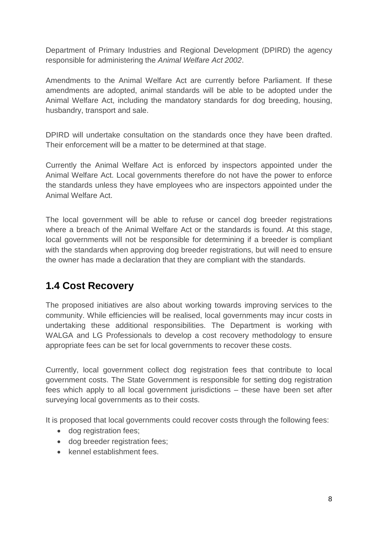Department of Primary Industries and Regional Development (DPIRD) the agency responsible for administering the *Animal Welfare Act 2002*.

Amendments to the Animal Welfare Act are currently before Parliament. If these amendments are adopted, animal standards will be able to be adopted under the Animal Welfare Act, including the mandatory standards for dog breeding, housing, husbandry, transport and sale.

DPIRD will undertake consultation on the standards once they have been drafted. Their enforcement will be a matter to be determined at that stage.

Currently the Animal Welfare Act is enforced by inspectors appointed under the Animal Welfare Act. Local governments therefore do not have the power to enforce the standards unless they have employees who are inspectors appointed under the Animal Welfare Act.

The local government will be able to refuse or cancel dog breeder registrations where a breach of the Animal Welfare Act or the standards is found. At this stage, local governments will not be responsible for determining if a breeder is compliant with the standards when approving dog breeder registrations, but will need to ensure the owner has made a declaration that they are compliant with the standards.

### **1.4 Cost Recovery**

The proposed initiatives are also about working towards improving services to the community. While efficiencies will be realised, local governments may incur costs in undertaking these additional responsibilities. The Department is working with WALGA and LG Professionals to develop a cost recovery methodology to ensure appropriate fees can be set for local governments to recover these costs.

Currently, local government collect dog registration fees that contribute to local government costs. The State Government is responsible for setting dog registration fees which apply to all local government jurisdictions – these have been set after surveying local governments as to their costs.

It is proposed that local governments could recover costs through the following fees:

- dog registration fees;
- dog breeder registration fees;
- kennel establishment fees.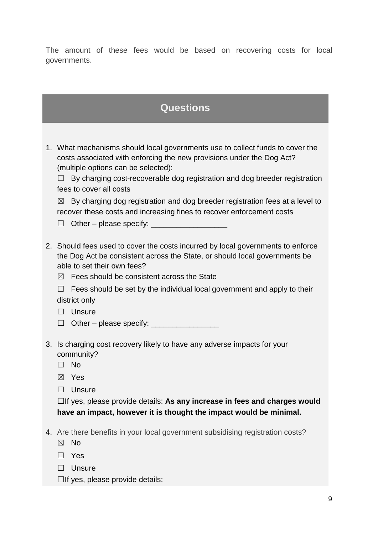The amount of these fees would be based on recovering costs for local governments.

### **Questions**

1. What mechanisms should local governments use to collect funds to cover the costs associated with enforcing the new provisions under the Dog Act? (multiple options can be selected):

 $\Box$  By charging cost-recoverable dog registration and dog breeder registration fees to cover all costs

 $\boxtimes$  By charging dog registration and dog breeder registration fees at a level to recover these costs and increasing fines to recover enforcement costs

 $\Box$  Other – please specify:

- 2. Should fees used to cover the costs incurred by local governments to enforce the Dog Act be consistent across the State, or should local governments be able to set their own fees?
	- $<sup>8</sup>$  Fees should be consistent across the State</sup>
	- $\Box$  Fees should be set by the individual local government and apply to their district only
	- ☐ Unsure
	- $\Box$  Other please specify:
- 3. Is charging cost recovery likely to have any adverse impacts for your community?
	- ☐ No
	- ☒ Yes
	- ☐ Unsure

☐If yes, please provide details: **As any increase in fees and charges would have an impact, however it is thought the impact would be minimal.**

- 4. Are there benefits in your local government subsidising registration costs?
	- ☒ No
	- ☐ Yes
	- □ Unsure
	- $\Box$ If yes, please provide details: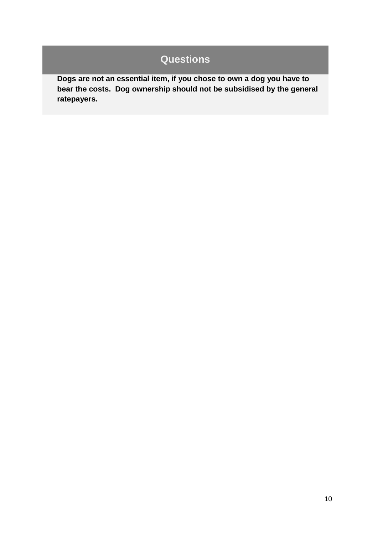**Dogs are not an essential item, if you chose to own a dog you have to bear the costs. Dog ownership should not be subsidised by the general ratepayers.**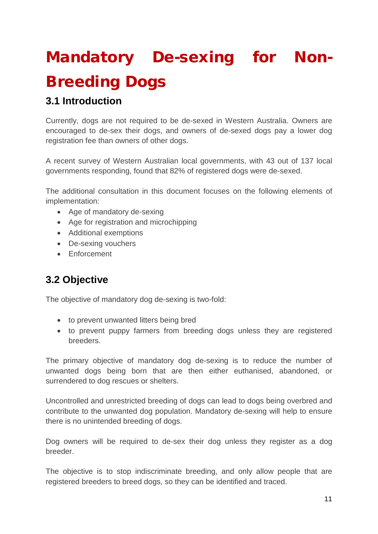# <span id="page-10-0"></span>Mandatory De-sexing for Non-Breeding Dogs

### **3.1 Introduction**

Currently, dogs are not required to be de-sexed in Western Australia. Owners are encouraged to de-sex their dogs, and owners of de-sexed dogs pay a lower dog registration fee than owners of other dogs.

A recent survey of Western Australian local governments, with 43 out of 137 local governments responding, found that 82% of registered dogs were de-sexed.

The additional consultation in this document focuses on the following elements of implementation:

- Age of mandatory de-sexing
- Age for registration and microchipping
- Additional exemptions
- De-sexing vouchers
- Enforcement

### **3.2 Objective**

The objective of mandatory dog de-sexing is two-fold:

- to prevent unwanted litters being bred
- to prevent puppy farmers from breeding dogs unless they are registered breeders.

The primary objective of mandatory dog de-sexing is to reduce the number of unwanted dogs being born that are then either euthanised, abandoned, or surrendered to dog rescues or shelters.

Uncontrolled and unrestricted breeding of dogs can lead to dogs being overbred and contribute to the unwanted dog population. Mandatory de-sexing will help to ensure there is no unintended breeding of dogs.

Dog owners will be required to de-sex their dog unless they register as a dog breeder.

The objective is to stop indiscriminate breeding, and only allow people that are registered breeders to breed dogs, so they can be identified and traced.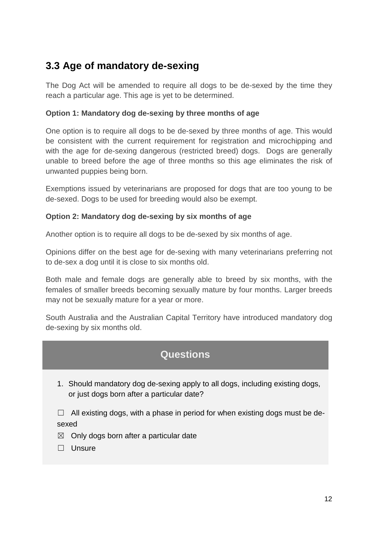### **3.3 Age of mandatory de-sexing**

The Dog Act will be amended to require all dogs to be de-sexed by the time they reach a particular age. This age is yet to be determined.

#### **Option 1: Mandatory dog de-sexing by three months of age**

One option is to require all dogs to be de-sexed by three months of age. This would be consistent with the current requirement for registration and microchipping and with the age for de-sexing dangerous (restricted breed) dogs. Dogs are generally unable to breed before the age of three months so this age eliminates the risk of unwanted puppies being born.

Exemptions issued by veterinarians are proposed for dogs that are too young to be de-sexed. Dogs to be used for breeding would also be exempt.

#### **Option 2: Mandatory dog de-sexing by six months of age**

Another option is to require all dogs to be de-sexed by six months of age.

Opinions differ on the best age for de-sexing with many veterinarians preferring not to de-sex a dog until it is close to six months old.

Both male and female dogs are generally able to breed by six months, with the females of smaller breeds becoming sexually mature by four months. Larger breeds may not be sexually mature for a year or more.

South Australia and the Australian Capital Territory have introduced mandatory dog de-sexing by six months old.

### **Questions**

1. Should mandatory dog de-sexing apply to all dogs, including existing dogs, or just dogs born after a particular date?

 $\Box$  All existing dogs, with a phase in period for when existing dogs must be desexed

 $\boxtimes$  Only dogs born after a particular date

☐ Unsure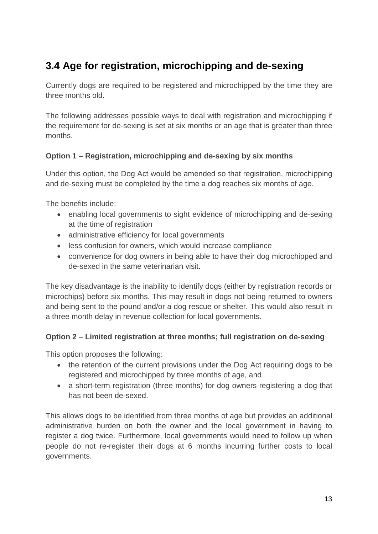### **3.4 Age for registration, microchipping and de-sexing**

Currently dogs are required to be registered and microchipped by the time they are three months old.

The following addresses possible ways to deal with registration and microchipping if the requirement for de-sexing is set at six months or an age that is greater than three months.

#### **Option 1 – Registration, microchipping and de-sexing by six months**

Under this option, the Dog Act would be amended so that registration, microchipping and de-sexing must be completed by the time a dog reaches six months of age.

The benefits include:

- enabling local governments to sight evidence of microchipping and de-sexing at the time of registration
- administrative efficiency for local governments
- less confusion for owners, which would increase compliance
- convenience for dog owners in being able to have their dog microchipped and de-sexed in the same veterinarian visit.

The key disadvantage is the inability to identify dogs (either by registration records or microchips) before six months. This may result in dogs not being returned to owners and being sent to the pound and/or a dog rescue or shelter. This would also result in a three month delay in revenue collection for local governments.

#### **Option 2 – Limited registration at three months; full registration on de-sexing**

This option proposes the following:

- the retention of the current provisions under the Dog Act requiring dogs to be registered and microchipped by three months of age, and
- a short-term registration (three months) for dog owners registering a dog that has not been de-sexed.

This allows dogs to be identified from three months of age but provides an additional administrative burden on both the owner and the local government in having to register a dog twice. Furthermore, local governments would need to follow up when people do not re-register their dogs at 6 months incurring further costs to local governments.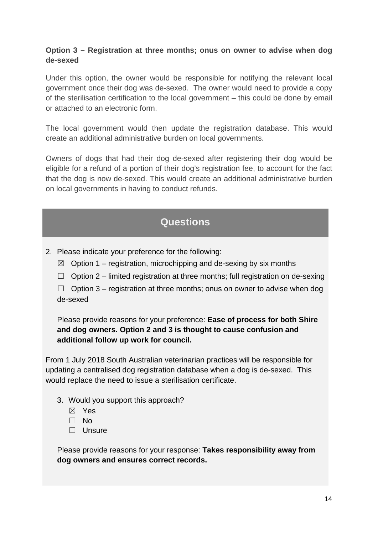#### **Option 3 – Registration at three months; onus on owner to advise when dog de-sexed**

Under this option, the owner would be responsible for notifying the relevant local government once their dog was de-sexed. The owner would need to provide a copy of the sterilisation certification to the local government – this could be done by email or attached to an electronic form.

The local government would then update the registration database. This would create an additional administrative burden on local governments.

Owners of dogs that had their dog de-sexed after registering their dog would be eligible for a refund of a portion of their dog's registration fee, to account for the fact that the dog is now de-sexed. This would create an additional administrative burden on local governments in having to conduct refunds.

### **Questions**

- 2. Please indicate your preference for the following:
	- $\boxtimes$  Option 1 registration, microchipping and de-sexing by six months
	- $\Box$  Option 2 limited registration at three months; full registration on de-sexing

 $\Box$  Option 3 – registration at three months; onus on owner to advise when dog de-sexed

Please provide reasons for your preference: **Ease of process for both Shire and dog owners. Option 2 and 3 is thought to cause confusion and additional follow up work for council.** 

From 1 July 2018 South Australian veterinarian practices will be responsible for updating a centralised dog registration database when a dog is de-sexed. This would replace the need to issue a sterilisation certificate.

- 3. Would you support this approach?
	- ☒ Yes
	- ☐ No
	- ☐ Unsure

Please provide reasons for your response: **Takes responsibility away from dog owners and ensures correct records.**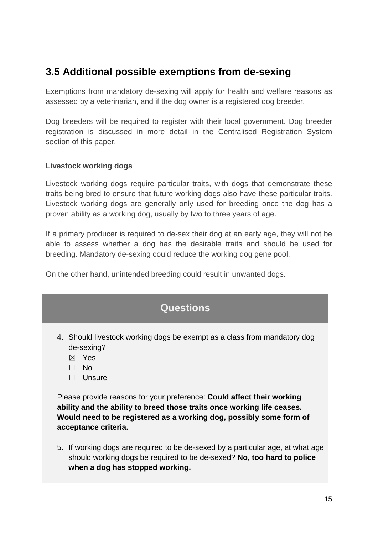### **3.5 Additional possible exemptions from de-sexing**

Exemptions from mandatory de-sexing will apply for health and welfare reasons as assessed by a veterinarian, and if the dog owner is a registered dog breeder.

Dog breeders will be required to register with their local government. Dog breeder registration is discussed in more detail in the Centralised Registration System section of this paper.

#### **Livestock working dogs**

Livestock working dogs require particular traits, with dogs that demonstrate these traits being bred to ensure that future working dogs also have these particular traits. Livestock working dogs are generally only used for breeding once the dog has a proven ability as a working dog, usually by two to three years of age.

If a primary producer is required to de-sex their dog at an early age, they will not be able to assess whether a dog has the desirable traits and should be used for breeding. Mandatory de-sexing could reduce the working dog gene pool.

On the other hand, unintended breeding could result in unwanted dogs.

| <b>Questions</b>                                                                                                                                                                                                                                        |
|---------------------------------------------------------------------------------------------------------------------------------------------------------------------------------------------------------------------------------------------------------|
| 4. Should livestock working dogs be exempt as a class from mandatory dog<br>de-sexing?<br>Yes<br>$\boxtimes$<br>No.<br>Unsure                                                                                                                           |
| Please provide reasons for your preference: <b>Could affect their working</b><br>ability and the ability to breed those traits once working life ceases.<br>Would need to be registered as a working dog, possibly some form of<br>acceptance criteria. |
| 5. If working dogs are required to be de-sexed by a particular age, at what age<br>should working dogs be required to be de-sexed? No, too hard to police<br>when a dog has stopped working.                                                            |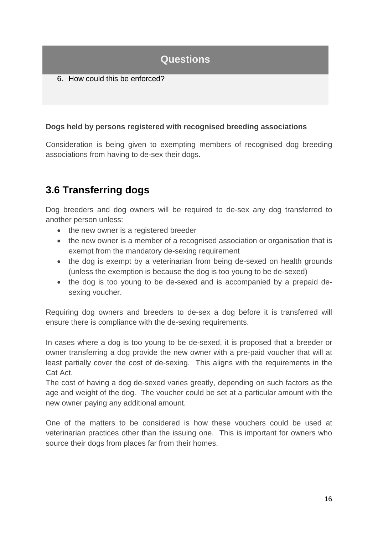6. How could this be enforced?

#### **Dogs held by persons registered with recognised breeding associations**

Consideration is being given to exempting members of recognised dog breeding associations from having to de-sex their dogs.

### **3.6 Transferring dogs**

Dog breeders and dog owners will be required to de-sex any dog transferred to another person unless:

- the new owner is a registered breeder
- the new owner is a member of a recognised association or organisation that is exempt from the mandatory de-sexing requirement
- the dog is exempt by a veterinarian from being de-sexed on health grounds (unless the exemption is because the dog is too young to be de-sexed)
- the dog is too young to be de-sexed and is accompanied by a prepaid desexing voucher.

Requiring dog owners and breeders to de-sex a dog before it is transferred will ensure there is compliance with the de-sexing requirements.

In cases where a dog is too young to be de-sexed, it is proposed that a breeder or owner transferring a dog provide the new owner with a pre-paid voucher that will at least partially cover the cost of de-sexing. This aligns with the requirements in the Cat Act.

The cost of having a dog de-sexed varies greatly, depending on such factors as the age and weight of the dog. The voucher could be set at a particular amount with the new owner paying any additional amount.

One of the matters to be considered is how these vouchers could be used at veterinarian practices other than the issuing one. This is important for owners who source their dogs from places far from their homes.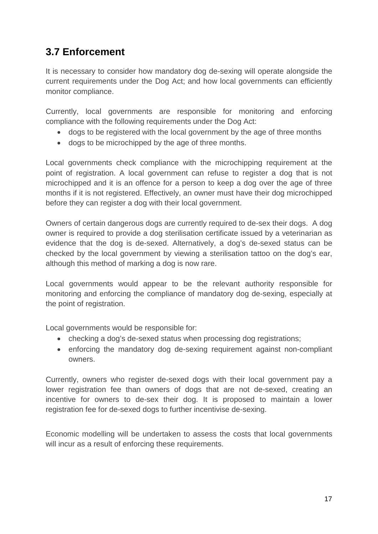### **3.7 Enforcement**

It is necessary to consider how mandatory dog de-sexing will operate alongside the current requirements under the Dog Act; and how local governments can efficiently monitor compliance.

Currently, local governments are responsible for monitoring and enforcing compliance with the following requirements under the Dog Act:

- dogs to be registered with the local government by the age of three months
- dogs to be microchipped by the age of three months.

Local governments check compliance with the microchipping requirement at the point of registration. A local government can refuse to register a dog that is not microchipped and it is an offence for a person to keep a dog over the age of three months if it is not registered. Effectively, an owner must have their dog microchipped before they can register a dog with their local government.

Owners of certain dangerous dogs are currently required to de-sex their dogs. A dog owner is required to provide a dog sterilisation certificate issued by a veterinarian as evidence that the dog is de-sexed. Alternatively, a dog's de-sexed status can be checked by the local government by viewing a sterilisation tattoo on the dog's ear, although this method of marking a dog is now rare.

Local governments would appear to be the relevant authority responsible for monitoring and enforcing the compliance of mandatory dog de-sexing, especially at the point of registration.

Local governments would be responsible for:

- checking a dog's de-sexed status when processing dog registrations;
- enforcing the mandatory dog de-sexing requirement against non-compliant owners.

Currently, owners who register de-sexed dogs with their local government pay a lower registration fee than owners of dogs that are not de-sexed, creating an incentive for owners to de-sex their dog. It is proposed to maintain a lower registration fee for de-sexed dogs to further incentivise de-sexing.

Economic modelling will be undertaken to assess the costs that local governments will incur as a result of enforcing these requirements.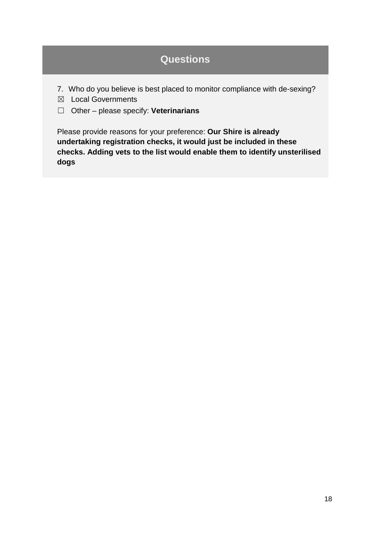- 7. Who do you believe is best placed to monitor compliance with de-sexing?
- ☒ Local Governments
- ☐ Other please specify: **Veterinarians**

Please provide reasons for your preference: **Our Shire is already undertaking registration checks, it would just be included in these checks. Adding vets to the list would enable them to identify unsterilised dogs**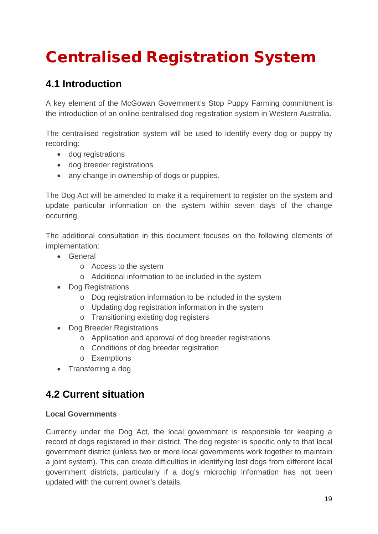# <span id="page-18-0"></span>Centralised Registration System

### **4.1 Introduction**

A key element of the McGowan Government's Stop Puppy Farming commitment is the introduction of an online centralised dog registration system in Western Australia.

The centralised registration system will be used to identify every dog or puppy by recording:

- dog registrations
- dog breeder registrations
- any change in ownership of dogs or puppies.

The Dog Act will be amended to make it a requirement to register on the system and update particular information on the system within seven days of the change occurring.

The additional consultation in this document focuses on the following elements of implementation:

- General
	- o Access to the system
	- o Additional information to be included in the system
- Dog Registrations
	- o Dog registration information to be included in the system
	- o Updating dog registration information in the system
	- o Transitioning existing dog registers
- Dog Breeder Registrations
	- o Application and approval of dog breeder registrations
	- o Conditions of dog breeder registration
	- o Exemptions
- Transferring a dog

### **4.2 Current situation**

#### **Local Governments**

Currently under the Dog Act, the local government is responsible for keeping a record of dogs registered in their district. The dog register is specific only to that local government district (unless two or more local governments work together to maintain a joint system). This can create difficulties in identifying lost dogs from different local government districts, particularly if a dog's microchip information has not been updated with the current owner's details.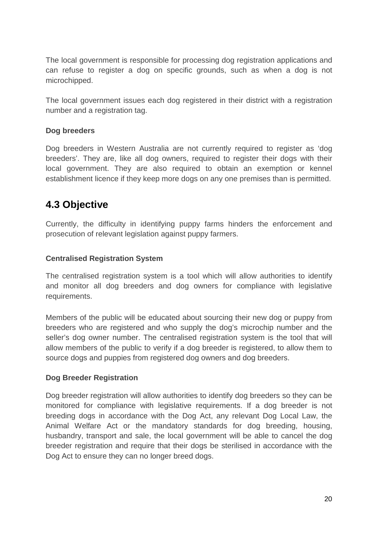The local government is responsible for processing dog registration applications and can refuse to register a dog on specific grounds, such as when a dog is not microchipped.

The local government issues each dog registered in their district with a registration number and a registration tag.

#### **Dog breeders**

Dog breeders in Western Australia are not currently required to register as 'dog breeders'. They are, like all dog owners, required to register their dogs with their local government. They are also required to obtain an exemption or kennel establishment licence if they keep more dogs on any one premises than is permitted.

### **4.3 Objective**

Currently, the difficulty in identifying puppy farms hinders the enforcement and prosecution of relevant legislation against puppy farmers.

#### **Centralised Registration System**

The centralised registration system is a tool which will allow authorities to identify and monitor all dog breeders and dog owners for compliance with legislative requirements.

Members of the public will be educated about sourcing their new dog or puppy from breeders who are registered and who supply the dog's microchip number and the seller's dog owner number. The centralised registration system is the tool that will allow members of the public to verify if a dog breeder is registered, to allow them to source dogs and puppies from registered dog owners and dog breeders.

#### **Dog Breeder Registration**

Dog breeder registration will allow authorities to identify dog breeders so they can be monitored for compliance with legislative requirements. If a dog breeder is not breeding dogs in accordance with the Dog Act, any relevant Dog Local Law, the Animal Welfare Act or the mandatory standards for dog breeding, housing, husbandry, transport and sale, the local government will be able to cancel the dog breeder registration and require that their dogs be sterilised in accordance with the Dog Act to ensure they can no longer breed dogs.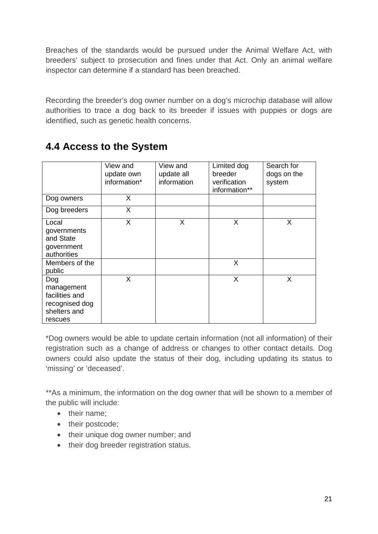Breaches of the standards would be pursued under the Animal Welfare Act, with breeders' subject to prosecution and fines under that Act. Only an animal welfare inspector can determine if a standard has been breached.

Recording the breeder's dog owner number on a dog's microchip database will allow authorities to trace a dog back to its breeder if issues with puppies or dogs are identified, such as genetic health concerns.

|                                                                                  | View and<br>update own<br>information* | View and<br>update all<br>information | Limited dog<br>breeder<br>verification<br>information** | Search for<br>dogs on the<br>system |
|----------------------------------------------------------------------------------|----------------------------------------|---------------------------------------|---------------------------------------------------------|-------------------------------------|
| Dog owners                                                                       | X                                      |                                       |                                                         |                                     |
| Dog breeders                                                                     | X                                      |                                       |                                                         |                                     |
| Local<br>governments<br>and State<br>government<br>authorities                   | X                                      | X                                     | X                                                       | X                                   |
| Members of the<br>public                                                         |                                        |                                       | X                                                       |                                     |
| Dog<br>management<br>facilities and<br>recognised dog<br>shelters and<br>rescues | X                                      |                                       | X                                                       | X                                   |

### **4.4 Access to the System**

\*Dog owners would be able to update certain information (not all information) of their registration such as a change of address or changes to other contact details. Dog owners could also update the status of their dog, including updating its status to 'missing' or 'deceased'.

\*\*As a minimum, the information on the dog owner that will be shown to a member of the public will include:

- their name:
- their postcode;
- their unique dog owner number; and
- their dog breeder registration status.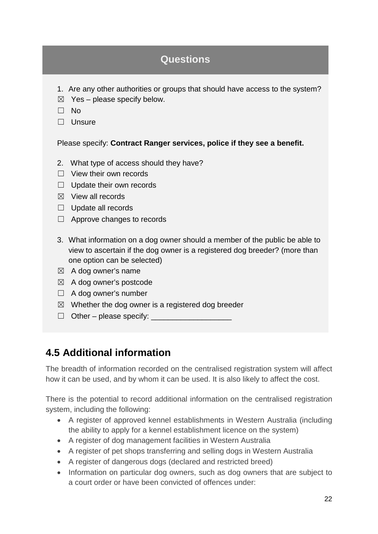- 1. Are any other authorities or groups that should have access to the system?
- $\boxtimes$  Yes please specify below.
- ☐ No
- □ Unsure

Please specify: **Contract Ranger services, police if they see a benefit.**

- 2. What type of access should they have?
- ☐ View their own records
- □ Update their own records
- $\boxtimes$  View all records
- □ Update all records
- ☐ Approve changes to records
- 3. What information on a dog owner should a member of the public be able to view to ascertain if the dog owner is a registered dog breeder? (more than one option can be selected)
- $\boxtimes$  A dog owner's name
- $\boxtimes$  A dog owner's postcode
- □ A dog owner's number
- $\boxtimes$  Whether the dog owner is a registered dog breeder
- $\Box$  Other please specify:  $\Box$

### **4.5 Additional information**

The breadth of information recorded on the centralised registration system will affect how it can be used, and by whom it can be used. It is also likely to affect the cost.

There is the potential to record additional information on the centralised registration system, including the following:

- A register of approved kennel establishments in Western Australia (including the ability to apply for a kennel establishment licence on the system)
- A register of dog management facilities in Western Australia
- A register of pet shops transferring and selling dogs in Western Australia
- A register of dangerous dogs (declared and restricted breed)
- Information on particular dog owners, such as dog owners that are subject to a court order or have been convicted of offences under: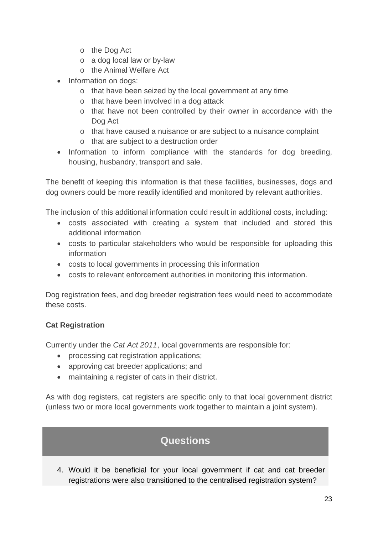- o the Dog Act
- o a dog local law or by-law
- o the Animal Welfare Act
- Information on dogs:
	- o that have been seized by the local government at any time
	- o that have been involved in a dog attack
	- o that have not been controlled by their owner in accordance with the Dog Act
	- o that have caused a nuisance or are subject to a nuisance complaint
	- o that are subject to a destruction order
- Information to inform compliance with the standards for dog breeding, housing, husbandry, transport and sale.

The benefit of keeping this information is that these facilities, businesses, dogs and dog owners could be more readily identified and monitored by relevant authorities.

The inclusion of this additional information could result in additional costs, including:

- costs associated with creating a system that included and stored this additional information
- costs to particular stakeholders who would be responsible for uploading this information
- costs to local governments in processing this information
- costs to relevant enforcement authorities in monitoring this information.

Dog registration fees, and dog breeder registration fees would need to accommodate these costs.

#### **Cat Registration**

Currently under the *Cat Act 2011*, local governments are responsible for:

- processing cat registration applications;
- approving cat breeder applications; and
- maintaining a register of cats in their district.

As with dog registers, cat registers are specific only to that local government district (unless two or more local governments work together to maintain a joint system).

### **Questions**

4. Would it be beneficial for your local government if cat and cat breeder registrations were also transitioned to the centralised registration system?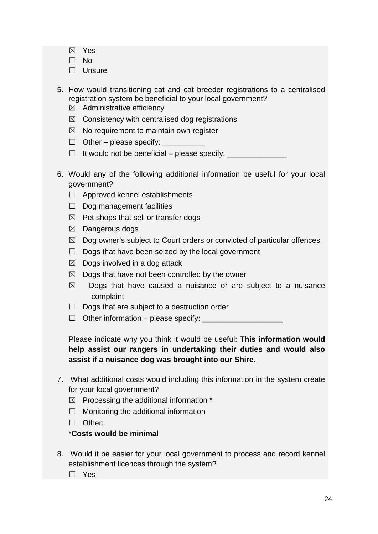- ☒ Yes
- ☐ No
- □ Unsure
- 5. How would transitioning cat and cat breeder registrations to a centralised registration system be beneficial to your local government?  $\boxtimes$  Administrative efficiency
	- $\boxtimes$  Consistency with centralised dog registrations
	- $\boxtimes$  No requirement to maintain own register
	- $\Box$  Other please specify:
	- $\Box$  It would not be beneficial please specify:  $\Box$
- 6. Would any of the following additional information be useful for your local government?
	- ☐ Approved kennel establishments
	- $\Box$  Dog management facilities
	- $\boxtimes$  Pet shops that sell or transfer dogs
	- ☒ Dangerous dogs
	- $\boxtimes$  Dog owner's subject to Court orders or convicted of particular offences
	- $\Box$  Dogs that have been seized by the local government
	- $\boxtimes$  Dogs involved in a dog attack
	- $\boxtimes$  Dogs that have not been controlled by the owner
	- $\boxtimes$  Dogs that have caused a nuisance or are subject to a nuisance complaint
	- $\Box$  Dogs that are subject to a destruction order
	- $\Box$  Other information please specify:  $\Box$

Please indicate why you think it would be useful: **This information would help assist our rangers in undertaking their duties and would also assist if a nuisance dog was brought into our Shire.**

- 7. What additional costs would including this information in the system create for your local government?
	- $\boxtimes$  Processing the additional information  $*$
	- $\Box$  Monitoring the additional information
	- ☐ Other:

#### \***Costs would be minimal**

8. Would it be easier for your local government to process and record kennel establishment licences through the system?

☐ Yes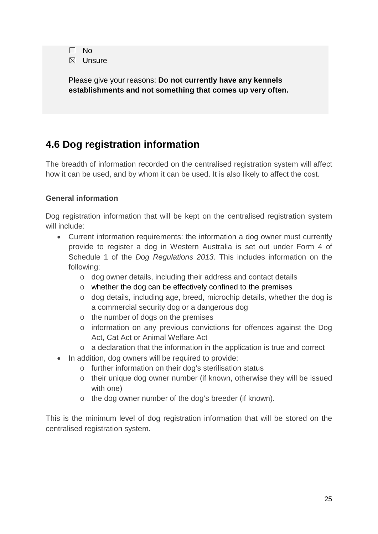| $\Box$      | No.    |
|-------------|--------|
| $\boxtimes$ | Unsure |

Please give your reasons: **Do not currently have any kennels establishments and not something that comes up very often.**

### **4.6 Dog registration information**

The breadth of information recorded on the centralised registration system will affect how it can be used, and by whom it can be used. It is also likely to affect the cost.

#### **General information**

Dog registration information that will be kept on the centralised registration system will include:

- Current information requirements: the information a dog owner must currently provide to register a dog in Western Australia is set out under Form 4 of Schedule 1 of the *Dog Regulations 2013*. This includes information on the following:
	- o dog owner details, including their address and contact details
	- o whether the dog can be effectively confined to the premises
	- o dog details, including age, breed, microchip details, whether the dog is a commercial security dog or a dangerous dog
	- o the number of dogs on the premises
	- o information on any previous convictions for offences against the Dog Act, Cat Act or Animal Welfare Act
	- o a declaration that the information in the application is true and correct
- In addition, dog owners will be required to provide:
	- o further information on their dog's sterilisation status
	- o their unique dog owner number (if known, otherwise they will be issued with one)
	- o the dog owner number of the dog's breeder (if known).

This is the minimum level of dog registration information that will be stored on the centralised registration system.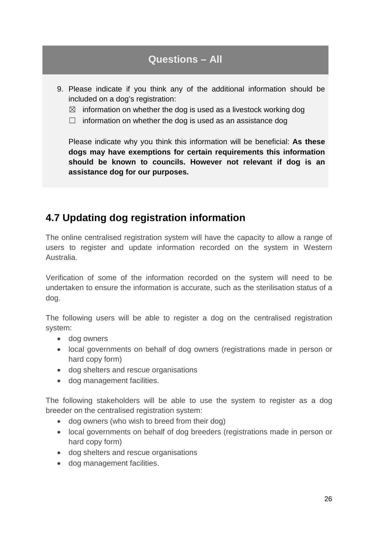### **Questions – All**

- 9. Please indicate if you think any of the additional information should be included on a dog's registration:
	- $\boxtimes$  information on whether the dog is used as a livestock working dog
	- $\Box$  information on whether the dog is used as an assistance dog

Please indicate why you think this information will be beneficial: **As these dogs may have exemptions for certain requirements this information should be known to councils. However not relevant if dog is an assistance dog for our purposes.**

### **4.7 Updating dog registration information**

The online centralised registration system will have the capacity to allow a range of users to register and update information recorded on the system in Western Australia.

Verification of some of the information recorded on the system will need to be undertaken to ensure the information is accurate, such as the sterilisation status of a dog.

The following users will be able to register a dog on the centralised registration system:

- dog owners
- local governments on behalf of dog owners (registrations made in person or hard copy form)
- dog shelters and rescue organisations
- dog management facilities.

The following stakeholders will be able to use the system to register as a dog breeder on the centralised registration system:

- dog owners (who wish to breed from their dog)
- local governments on behalf of dog breeders (registrations made in person or hard copy form)
- dog shelters and rescue organisations
- dog management facilities.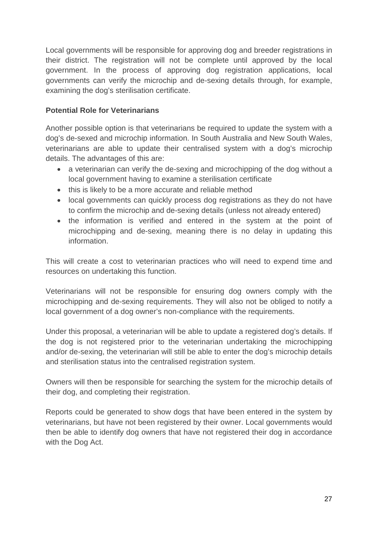Local governments will be responsible for approving dog and breeder registrations in their district. The registration will not be complete until approved by the local government. In the process of approving dog registration applications, local governments can verify the microchip and de-sexing details through, for example, examining the dog's sterilisation certificate.

#### **Potential Role for Veterinarians**

Another possible option is that veterinarians be required to update the system with a dog's de-sexed and microchip information. In South Australia and New South Wales, veterinarians are able to update their centralised system with a dog's microchip details. The advantages of this are:

- a veterinarian can verify the de-sexing and microchipping of the dog without a local government having to examine a sterilisation certificate
- this is likely to be a more accurate and reliable method
- local governments can quickly process dog registrations as they do not have to confirm the microchip and de-sexing details (unless not already entered)
- the information is verified and entered in the system at the point of microchipping and de-sexing, meaning there is no delay in updating this information.

This will create a cost to veterinarian practices who will need to expend time and resources on undertaking this function.

Veterinarians will not be responsible for ensuring dog owners comply with the microchipping and de-sexing requirements. They will also not be obliged to notify a local government of a dog owner's non-compliance with the requirements.

Under this proposal, a veterinarian will be able to update a registered dog's details. If the dog is not registered prior to the veterinarian undertaking the microchipping and/or de-sexing, the veterinarian will still be able to enter the dog's microchip details and sterilisation status into the centralised registration system.

Owners will then be responsible for searching the system for the microchip details of their dog, and completing their registration.

Reports could be generated to show dogs that have been entered in the system by veterinarians, but have not been registered by their owner. Local governments would then be able to identify dog owners that have not registered their dog in accordance with the Dog Act.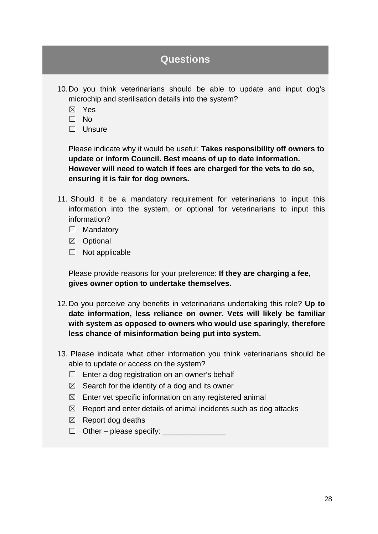- 10.Do you think veterinarians should be able to update and input dog's microchip and sterilisation details into the system?
	- ☒ Yes
	- ☐ No
	- ☐ Unsure

Please indicate why it would be useful: **Takes responsibility off owners to update or inform Council. Best means of up to date information. However will need to watch if fees are charged for the vets to do so, ensuring it is fair for dog owners.**

- 11. Should it be a mandatory requirement for veterinarians to input this information into the system, or optional for veterinarians to input this information?
	- □ Mandatory
	- ☒ Optional
	- $\Box$  Not applicable

Please provide reasons for your preference: **If they are charging a fee, gives owner option to undertake themselves.**

- 12.Do you perceive any benefits in veterinarians undertaking this role? **Up to date information, less reliance on owner. Vets will likely be familiar with system as opposed to owners who would use sparingly, therefore less chance of misinformation being put into system.**
- 13. Please indicate what other information you think veterinarians should be able to update or access on the system?
	- $\Box$  Enter a dog registration on an owner's behalf
	- $\boxtimes$  Search for the identity of a dog and its owner
	- $\boxtimes$  Enter vet specific information on any registered animal
	- $\boxtimes$  Report and enter details of animal incidents such as dog attacks
	- $\boxtimes$  Report dog deaths
	- ☐ Other please specify: \_\_\_\_\_\_\_\_\_\_\_\_\_\_\_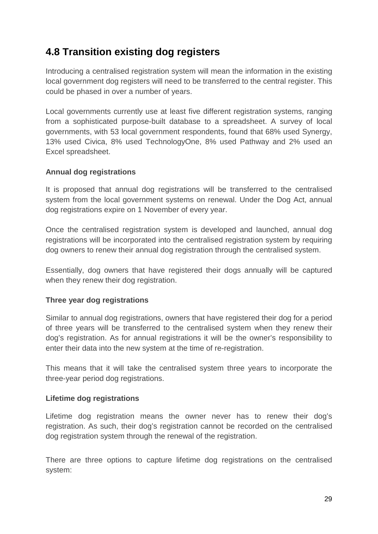### **4.8 Transition existing dog registers**

Introducing a centralised registration system will mean the information in the existing local government dog registers will need to be transferred to the central register. This could be phased in over a number of years.

Local governments currently use at least five different registration systems, ranging from a sophisticated purpose-built database to a spreadsheet. A survey of local governments, with 53 local government respondents, found that 68% used Synergy, 13% used Civica, 8% used TechnologyOne, 8% used Pathway and 2% used an Excel spreadsheet.

#### **Annual dog registrations**

It is proposed that annual dog registrations will be transferred to the centralised system from the local government systems on renewal. Under the Dog Act, annual dog registrations expire on 1 November of every year.

Once the centralised registration system is developed and launched, annual dog registrations will be incorporated into the centralised registration system by requiring dog owners to renew their annual dog registration through the centralised system.

Essentially, dog owners that have registered their dogs annually will be captured when they renew their dog registration.

#### **Three year dog registrations**

Similar to annual dog registrations, owners that have registered their dog for a period of three years will be transferred to the centralised system when they renew their dog's registration. As for annual registrations it will be the owner's responsibility to enter their data into the new system at the time of re-registration.

This means that it will take the centralised system three years to incorporate the three-year period dog registrations.

#### **Lifetime dog registrations**

Lifetime dog registration means the owner never has to renew their dog's registration. As such, their dog's registration cannot be recorded on the centralised dog registration system through the renewal of the registration.

There are three options to capture lifetime dog registrations on the centralised system: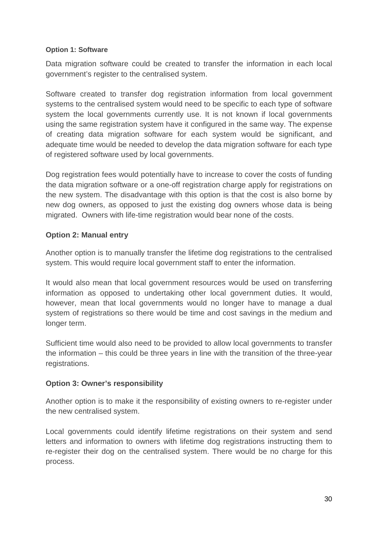#### **Option 1: Software**

Data migration software could be created to transfer the information in each local government's register to the centralised system.

Software created to transfer dog registration information from local government systems to the centralised system would need to be specific to each type of software system the local governments currently use. It is not known if local governments using the same registration system have it configured in the same way. The expense of creating data migration software for each system would be significant, and adequate time would be needed to develop the data migration software for each type of registered software used by local governments.

Dog registration fees would potentially have to increase to cover the costs of funding the data migration software or a one-off registration charge apply for registrations on the new system. The disadvantage with this option is that the cost is also borne by new dog owners, as opposed to just the existing dog owners whose data is being migrated. Owners with life-time registration would bear none of the costs.

#### **Option 2: Manual entry**

Another option is to manually transfer the lifetime dog registrations to the centralised system. This would require local government staff to enter the information.

It would also mean that local government resources would be used on transferring information as opposed to undertaking other local government duties. It would, however, mean that local governments would no longer have to manage a dual system of registrations so there would be time and cost savings in the medium and longer term.

Sufficient time would also need to be provided to allow local governments to transfer the information – this could be three years in line with the transition of the three-year registrations.

#### **Option 3: Owner's responsibility**

Another option is to make it the responsibility of existing owners to re-register under the new centralised system.

Local governments could identify lifetime registrations on their system and send letters and information to owners with lifetime dog registrations instructing them to re-register their dog on the centralised system. There would be no charge for this process.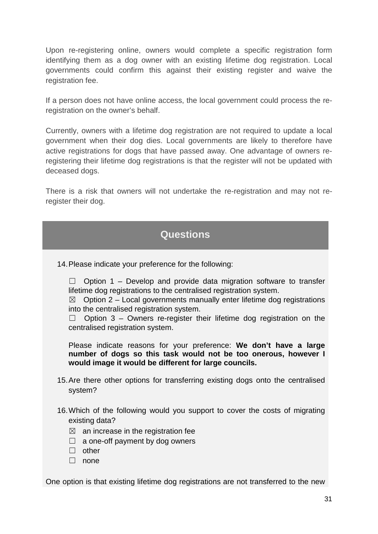Upon re-registering online, owners would complete a specific registration form identifying them as a dog owner with an existing lifetime dog registration. Local governments could confirm this against their existing register and waive the registration fee.

If a person does not have online access, the local government could process the reregistration on the owner's behalf.

Currently, owners with a lifetime dog registration are not required to update a local government when their dog dies. Local governments are likely to therefore have active registrations for dogs that have passed away. One advantage of owners reregistering their lifetime dog registrations is that the register will not be updated with deceased dogs.

There is a risk that owners will not undertake the re-registration and may not reregister their dog.

### **Questions**

14.Please indicate your preference for the following:

 $\Box$  Option 1 – Develop and provide data migration software to transfer lifetime dog registrations to the centralised registration system.

 $\boxtimes$  Option 2 – Local governments manually enter lifetime dog registrations into the centralised registration system.

 $\Box$  Option 3 – Owners re-register their lifetime dog registration on the centralised registration system.

Please indicate reasons for your preference: **We don't have a large number of dogs so this task would not be too onerous, however I would image it would be different for large councils.**

- 15.Are there other options for transferring existing dogs onto the centralised system?
- 16.Which of the following would you support to cover the costs of migrating existing data?
	- $\boxtimes$  an increase in the registration fee
	- $\Box$  a one-off payment by dog owners
	- ☐ other
	- ☐ none

One option is that existing lifetime dog registrations are not transferred to the new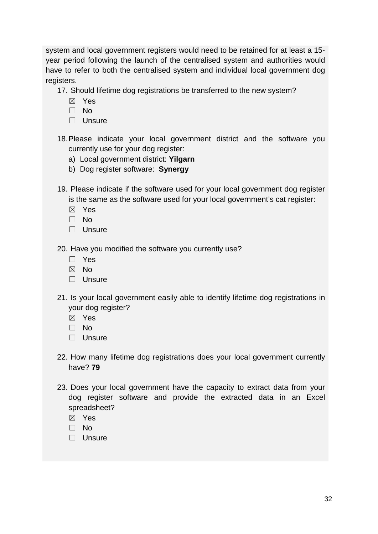system and local government registers would need to be retained for at least a 15 year period following the launch of the centralised system and authorities would have to refer to both the centralised system and individual local government dog registers.

17. Should lifetime dog registrations be transferred to the new system?

- ☒ Yes
- ☐ No
- □ Unsure
- 18.Please indicate your local government district and the software you currently use for your dog register:
	- a) Local government district: **Yilgarn**
	- b) Dog register software: **Synergy**
- 19. Please indicate if the software used for your local government dog register is the same as the software used for your local government's cat register:
	- ☒ Yes
	- $\Box$  No
	- □ Unsure

20. Have you modified the software you currently use?

- ☐ Yes
- ☒ No
- ☐ Unsure
- 21. Is your local government easily able to identify lifetime dog registrations in your dog register?
	- ☒ Yes
	- ☐ No
	- ☐ Unsure
- 22. How many lifetime dog registrations does your local government currently have? **79**
- 23. Does your local government have the capacity to extract data from your dog register software and provide the extracted data in an Excel spreadsheet?
	- ☒ Yes
	- ☐ No
	- ☐ Unsure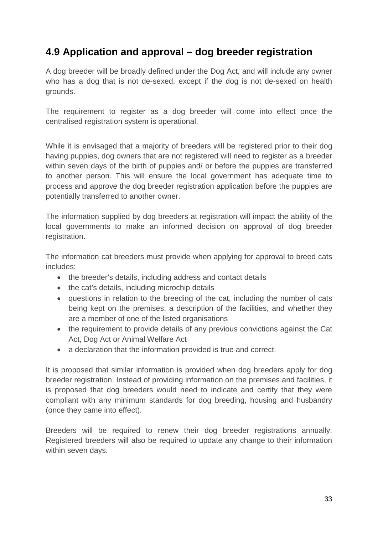### **4.9 Application and approval – dog breeder registration**

A dog breeder will be broadly defined under the Dog Act, and will include any owner who has a dog that is not de-sexed, except if the dog is not de-sexed on health grounds.

The requirement to register as a dog breeder will come into effect once the centralised registration system is operational.

While it is envisaged that a majority of breeders will be registered prior to their dog having puppies, dog owners that are not registered will need to register as a breeder within seven days of the birth of puppies and/ or before the puppies are transferred to another person. This will ensure the local government has adequate time to process and approve the dog breeder registration application before the puppies are potentially transferred to another owner.

The information supplied by dog breeders at registration will impact the ability of the local governments to make an informed decision on approval of dog breeder registration.

The information cat breeders must provide when applying for approval to breed cats includes:

- the breeder's details, including address and contact details
- the cat's details, including microchip details
- questions in relation to the breeding of the cat, including the number of cats being kept on the premises, a description of the facilities, and whether they are a member of one of the listed organisations
- the requirement to provide details of any previous convictions against the Cat Act, Dog Act or Animal Welfare Act
- a declaration that the information provided is true and correct.

It is proposed that similar information is provided when dog breeders apply for dog breeder registration. Instead of providing information on the premises and facilities, it is proposed that dog breeders would need to indicate and certify that they were compliant with any minimum standards for dog breeding, housing and husbandry (once they came into effect).

Breeders will be required to renew their dog breeder registrations annually. Registered breeders will also be required to update any change to their information within seven days.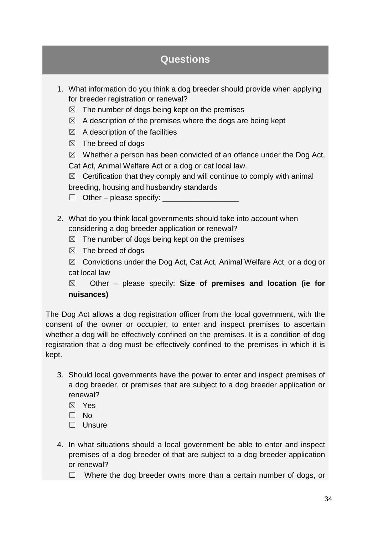- 1. What information do you think a dog breeder should provide when applying for breeder registration or renewal?
	- $\boxtimes$  The number of dogs being kept on the premises
	- $\boxtimes$  A description of the premises where the dogs are being kept
	- $\boxtimes$  A description of the facilities
	- $\boxtimes$  The breed of dogs
	- $\boxtimes$  Whether a person has been convicted of an offence under the Dog Act,

Cat Act, Animal Welfare Act or a dog or cat local law.

 $\boxtimes$  Certification that they comply and will continue to comply with animal

breeding, housing and husbandry standards

 $\Box$  Other – please specify:

- 2. What do you think local governments should take into account when considering a dog breeder application or renewal?
	- $\boxtimes$  The number of dogs being kept on the premises
	- $\boxtimes$  The breed of dogs

 $\boxtimes$  Convictions under the Dog Act, Cat Act, Animal Welfare Act, or a dog or cat local law

☒ Other – please specify: **Size of premises and location (ie for nuisances)**

The Dog Act allows a dog registration officer from the local government, with the consent of the owner or occupier, to enter and inspect premises to ascertain whether a dog will be effectively confined on the premises. It is a condition of dog registration that a dog must be effectively confined to the premises in which it is kept.

- 3. Should local governments have the power to enter and inspect premises of a dog breeder, or premises that are subject to a dog breeder application or renewal?
	- ☒ Yes
	- ☐ No
	- ☐ Unsure
- 4. In what situations should a local government be able to enter and inspect premises of a dog breeder of that are subject to a dog breeder application or renewal?
	- ☐ Where the dog breeder owns more than a certain number of dogs, or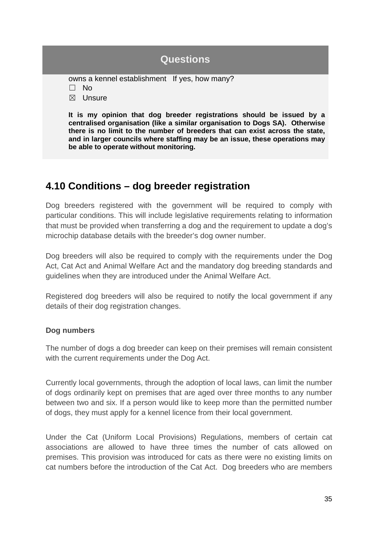owns a kennel establishment If yes, how many?

☐ No

☒ Unsure

**It is my opinion that dog breeder registrations should be issued by a centralised organisation (like a similar organisation to Dogs SA). Otherwise there is no limit to the number of breeders that can exist across the state, and in larger councils where staffing may be an issue, these operations may be able to operate without monitoring.**

### **4.10 Conditions – dog breeder registration**

Dog breeders registered with the government will be required to comply with particular conditions. This will include legislative requirements relating to information that must be provided when transferring a dog and the requirement to update a dog's microchip database details with the breeder's dog owner number.

Dog breeders will also be required to comply with the requirements under the Dog Act, Cat Act and Animal Welfare Act and the mandatory dog breeding standards and guidelines when they are introduced under the Animal Welfare Act.

Registered dog breeders will also be required to notify the local government if any details of their dog registration changes.

#### **Dog numbers**

The number of dogs a dog breeder can keep on their premises will remain consistent with the current requirements under the Dog Act.

Currently local governments, through the adoption of local laws, can limit the number of dogs ordinarily kept on premises that are aged over three months to any number between two and six. If a person would like to keep more than the permitted number of dogs, they must apply for a kennel licence from their local government.

Under the Cat (Uniform Local Provisions) Regulations, members of certain cat associations are allowed to have three times the number of cats allowed on premises. This provision was introduced for cats as there were no existing limits on cat numbers before the introduction of the Cat Act. Dog breeders who are members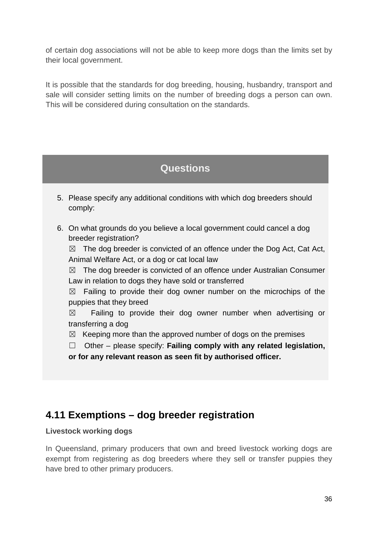of certain dog associations will not be able to keep more dogs than the limits set by their local government.

It is possible that the standards for dog breeding, housing, husbandry, transport and sale will consider setting limits on the number of breeding dogs a person can own. This will be considered during consultation on the standards.

### **Questions**

- 5. Please specify any additional conditions with which dog breeders should comply:
- 6. On what grounds do you believe a local government could cancel a dog breeder registration?

 $\boxtimes$  The dog breeder is convicted of an offence under the Dog Act, Cat Act, Animal Welfare Act, or a dog or cat local law

 $\boxtimes$  The dog breeder is convicted of an offence under Australian Consumer Law in relation to dogs they have sold or transferred

 $\boxtimes$  Failing to provide their dog owner number on the microchips of the puppies that they breed

 $\boxtimes$  Failing to provide their dog owner number when advertising or transferring a dog

 $\boxtimes$  Keeping more than the approved number of dogs on the premises

☐ Other – please specify: **Failing comply with any related legislation, or for any relevant reason as seen fit by authorised officer.**

### **4.11 Exemptions – dog breeder registration**

#### **Livestock working dogs**

In Queensland, primary producers that own and breed livestock working dogs are exempt from registering as dog breeders where they sell or transfer puppies they have bred to other primary producers.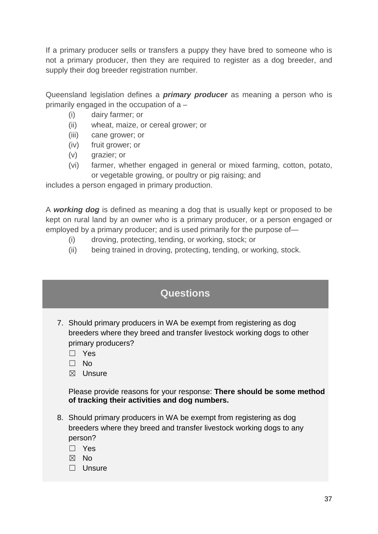If a primary producer sells or transfers a puppy they have bred to someone who is not a primary producer, then they are required to register as a dog breeder, and supply their dog breeder registration number.

Queensland legislation defines a *primary producer* as meaning a person who is primarily engaged in the occupation of a –

- (i) dairy farmer; or
- (ii) wheat, maize, or cereal grower; or
- (iii) cane grower; or
- (iv) fruit grower; or
- (v) grazier; or
- (vi) farmer, whether engaged in general or mixed farming, cotton, potato, or vegetable growing, or poultry or pig raising; and

includes a person engaged in primary production.

A *working dog* is defined as meaning a dog that is usually kept or proposed to be kept on rural land by an [owner](http://www5.austlii.edu.au/au/legis/qld/consol_act/amada2008244/s9.html#owner) who is a primary producer, or a person engaged or employed by a primary producer; and is used primarily for the purpose of—

- (i) droving, protecting, tending, or working, stock; or
- (ii) being trained in droving, protecting, tending, or working, stock.

| <b>Questions</b> |
|------------------|
|------------------|

- 7. Should primary producers in WA be exempt from registering as dog breeders where they breed and transfer livestock working dogs to other primary producers?
	- ☐ Yes
	- ☐ No
	- ☒ Unsure

Please provide reasons for your response: **There should be some method of tracking their activities and dog numbers.**

- 8. Should primary producers in WA be exempt from registering as dog breeders where they breed and transfer livestock working dogs to any person?
	- ☐ Yes
	- ☒ No
	- □ Unsure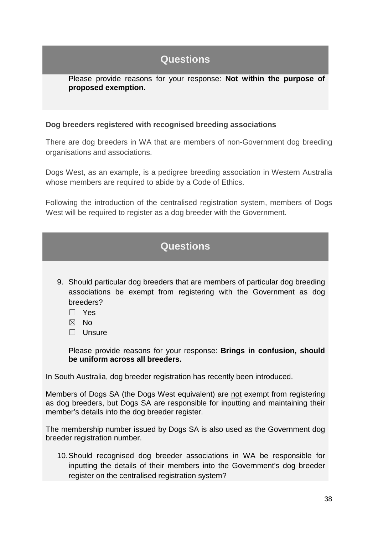Please provide reasons for your response: **Not within the purpose of proposed exemption.**

#### **Dog breeders registered with recognised breeding associations**

There are dog breeders in WA that are members of non-Government dog breeding organisations and associations.

Dogs West, as an example, is a pedigree breeding association in Western Australia whose members are required to abide by a Code of Ethics.

Following the introduction of the centralised registration system, members of Dogs West will be required to register as a dog breeder with the Government.

### **Questions**

- 9. Should particular dog breeders that are members of particular dog breeding associations be exempt from registering with the Government as dog breeders?
	- ☐ Yes
	- ☒ No
	- ☐ Unsure

Please provide reasons for your response: **Brings in confusion, should be uniform across all breeders.**

In South Australia, dog breeder registration has recently been introduced.

Members of Dogs SA (the Dogs West equivalent) are not exempt from registering as dog breeders, but Dogs SA are responsible for inputting and maintaining their member's details into the dog breeder register.

The membership number issued by Dogs SA is also used as the Government dog breeder registration number.

10.Should recognised dog breeder associations in WA be responsible for inputting the details of their members into the Government's dog breeder register on the centralised registration system?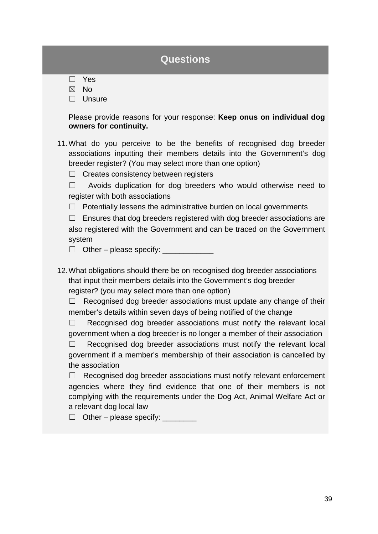- ☒ No
- □ Unsure

Please provide reasons for your response: **Keep onus on individual dog owners for continuity.**

- 11.What do you perceive to be the benefits of recognised dog breeder associations inputting their members details into the Government's dog breeder register? (You may select more than one option)
	- ☐ Creates consistency between registers

☐ Avoids duplication for dog breeders who would otherwise need to register with both associations

 $\Box$  Potentially lessens the administrative burden on local governments

 $\Box$  Ensures that dog breeders registered with dog breeder associations are also registered with the Government and can be traced on the Government system

 $\Box$  Other – please specify:  $\Box$ 

12.What obligations should there be on recognised dog breeder associations that input their members details into the Government's dog breeder register? (you may select more than one option)

 $\Box$  Recognised dog breeder associations must update any change of their member's details within seven days of being notified of the change

 $\Box$  Recognised dog breeder associations must notify the relevant local government when a dog breeder is no longer a member of their association

□ Recognised dog breeder associations must notify the relevant local government if a member's membership of their association is cancelled by the association

 $\Box$  Recognised dog breeder associations must notify relevant enforcement agencies where they find evidence that one of their members is not complying with the requirements under the Dog Act, Animal Welfare Act or a relevant dog local law

 $\Box$  Other – please specify:  $\Box$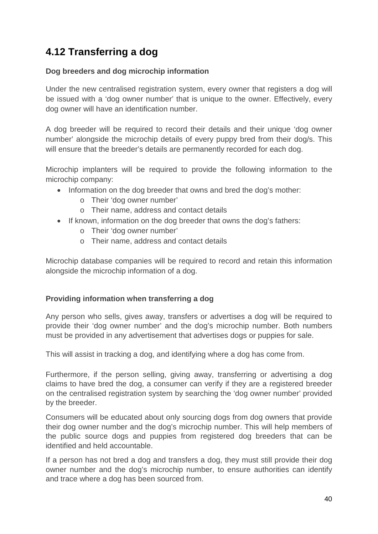### **4.12 Transferring a dog**

#### **Dog breeders and dog microchip information**

Under the new centralised registration system, every owner that registers a dog will be issued with a 'dog owner number' that is unique to the owner. Effectively, every dog owner will have an identification number.

A dog breeder will be required to record their details and their unique 'dog owner number' alongside the microchip details of every puppy bred from their dog/s. This will ensure that the breeder's details are permanently recorded for each dog.

Microchip implanters will be required to provide the following information to the microchip company:

- Information on the dog breeder that owns and bred the dog's mother:
	- o Their 'dog owner number'
	- o Their name, address and contact details
- If known, information on the dog breeder that owns the dog's fathers:
	- o Their 'dog owner number'
	- o Their name, address and contact details

Microchip database companies will be required to record and retain this information alongside the microchip information of a dog.

#### **Providing information when transferring a dog**

Any person who sells, gives away, transfers or advertises a dog will be required to provide their 'dog owner number' and the dog's microchip number. Both numbers must be provided in any advertisement that advertises dogs or puppies for sale.

This will assist in tracking a dog, and identifying where a dog has come from.

Furthermore, if the person selling, giving away, transferring or advertising a dog claims to have bred the dog, a consumer can verify if they are a registered breeder on the centralised registration system by searching the 'dog owner number' provided by the breeder.

Consumers will be educated about only sourcing dogs from dog owners that provide their dog owner number and the dog's microchip number. This will help members of the public source dogs and puppies from registered dog breeders that can be identified and held accountable.

If a person has not bred a dog and transfers a dog, they must still provide their dog owner number and the dog's microchip number, to ensure authorities can identify and trace where a dog has been sourced from.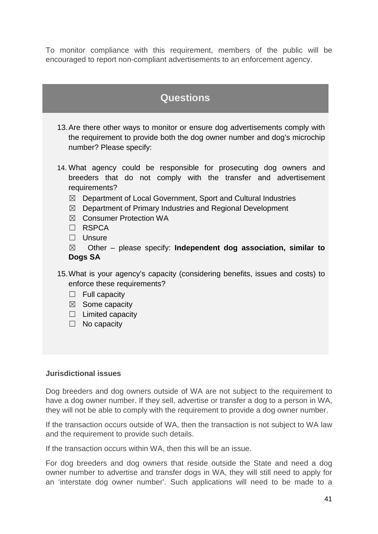To monitor compliance with this requirement, members of the public will be encouraged to report non-compliant advertisements to an enforcement agency.

### **Questions**

- 13.Are there other ways to monitor or ensure dog advertisements comply with the requirement to provide both the dog owner number and dog's microchip number? Please specify:
- 14. What agency could be responsible for prosecuting dog owners and breeders that do not comply with the transfer and advertisement requirements?
	- ☒ Department of Local Government, Sport and Cultural Industries
	- $\boxtimes$  Department of Primary Industries and Regional Development
	- ☒ Consumer Protection WA
	- ☐ RSPCA
	- □ Unsure
	- ☒ Other please specify: **Independent dog association, similar to Dogs SA**
- 15.What is your agency's capacity (considering benefits, issues and costs) to enforce these requirements?
	- $\Box$  Full capacity
	- ☒ Some capacity
	- ☐ Limited capacity
	- ☐ No capacity

#### **Jurisdictional issues**

Dog breeders and dog owners outside of WA are not subject to the requirement to have a dog owner number. If they sell, advertise or transfer a dog to a person in WA, they will not be able to comply with the requirement to provide a dog owner number.

If the transaction occurs outside of WA, then the transaction is not subject to WA law and the requirement to provide such details.

If the transaction occurs within WA, then this will be an issue.

For dog breeders and dog owners that reside outside the State and need a dog owner number to advertise and transfer dogs in WA, they will still need to apply for an 'interstate dog owner number'. Such applications will need to be made to a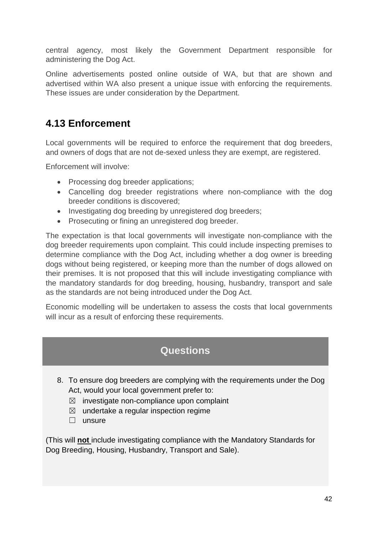central agency, most likely the Government Department responsible for administering the Dog Act.

Online advertisements posted online outside of WA, but that are shown and advertised within WA also present a unique issue with enforcing the requirements. These issues are under consideration by the Department.

### **4.13 Enforcement**

Local governments will be required to enforce the requirement that dog breeders, and owners of dogs that are not de-sexed unless they are exempt, are registered.

Enforcement will involve:

- Processing dog breeder applications;
- Cancelling dog breeder registrations where non-compliance with the dog breeder conditions is discovered;
- Investigating dog breeding by unregistered dog breeders;
- Prosecuting or fining an unregistered dog breeder.

The expectation is that local governments will investigate non-compliance with the dog breeder requirements upon complaint. This could include inspecting premises to determine compliance with the Dog Act, including whether a dog owner is breeding dogs without being registered, or keeping more than the number of dogs allowed on their premises. It is not proposed that this will include investigating compliance with the mandatory standards for dog breeding, housing, husbandry, transport and sale as the standards are not being introduced under the Dog Act.

Economic modelling will be undertaken to assess the costs that local governments will incur as a result of enforcing these requirements.

### **Questions**

- 8. To ensure dog breeders are complying with the requirements under the Dog Act, would your local government prefer to:
	- $\boxtimes$  investigate non-compliance upon complaint
	- $\boxtimes$  undertake a regular inspection regime
	- ☐ unsure

(This will **not** include investigating compliance with the Mandatory Standards for Dog Breeding, Housing, Husbandry, Transport and Sale).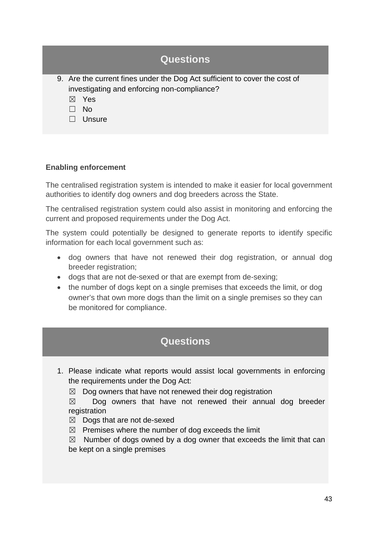| <b>Questions</b>                                                                                                          |
|---------------------------------------------------------------------------------------------------------------------------|
| 9. Are the current fines under the Dog Act sufficient to cover the cost of<br>investigating and enforcing non-compliance? |
| Yes<br>$\bowtie$                                                                                                          |
| No.                                                                                                                       |
| Unsure                                                                                                                    |

#### **Enabling enforcement**

The centralised registration system is intended to make it easier for local government authorities to identify dog owners and dog breeders across the State.

The centralised registration system could also assist in monitoring and enforcing the current and proposed requirements under the Dog Act.

The system could potentially be designed to generate reports to identify specific information for each local government such as:

- dog owners that have not renewed their dog registration, or annual dog breeder registration;
- dogs that are not de-sexed or that are exempt from de-sexing;
- the number of dogs kept on a single premises that exceeds the limit, or dog owner's that own more dogs than the limit on a single premises so they can be monitored for compliance.

### **Questions**

1. Please indicate what reports would assist local governments in enforcing the requirements under the Dog Act:

 $\boxtimes$  Dog owners that have not renewed their dog registration

 $\boxtimes$  Dog owners that have not renewed their annual dog breeder registration

 $\boxtimes$  Dogs that are not de-sexed

 $\boxtimes$  Premises where the number of dog exceeds the limit

 $\boxtimes$  Number of dogs owned by a dog owner that exceeds the limit that can be kept on a single premises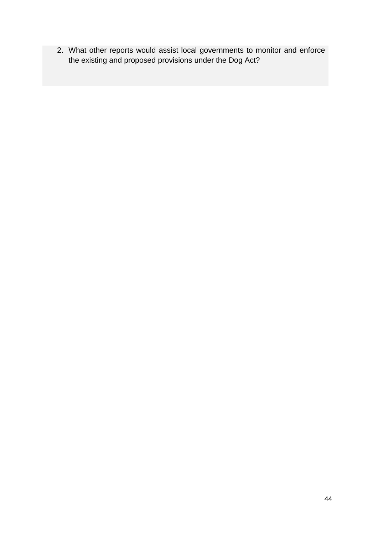2. What other reports would assist local governments to monitor and enforce the existing and proposed provisions under the Dog Act?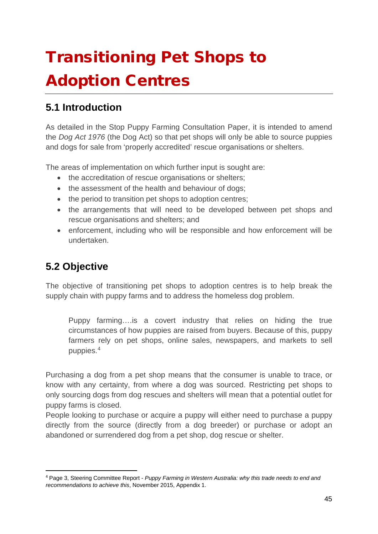# <span id="page-44-0"></span>Transitioning Pet Shops to Adoption Centres

### **5.1 Introduction**

As detailed in the Stop Puppy Farming Consultation Paper, it is intended to amend the *Dog Act 1976* (the Dog Act) so that pet shops will only be able to source puppies and dogs for sale from 'properly accredited' rescue organisations or shelters.

The areas of implementation on which further input is sought are:

- the accreditation of rescue organisations or shelters;
- the assessment of the health and behaviour of dogs;
- the period to transition pet shops to adoption centres;
- the arrangements that will need to be developed between pet shops and rescue organisations and shelters; and
- enforcement, including who will be responsible and how enforcement will be undertaken.

### **5.2 Objective**

The objective of transitioning pet shops to adoption centres is to help break the supply chain with puppy farms and to address the homeless dog problem.

Puppy farming….is a covert industry that relies on hiding the true circumstances of how puppies are raised from buyers. Because of this, puppy farmers rely on pet shops, online sales, newspapers, and markets to sell puppies.[4](#page-44-1)

Purchasing a dog from a pet shop means that the consumer is unable to trace, or know with any certainty, from where a dog was sourced. Restricting pet shops to only sourcing dogs from dog rescues and shelters will mean that a potential outlet for puppy farms is closed.

People looking to purchase or acquire a puppy will either need to purchase a puppy directly from the source (directly from a dog breeder) or purchase or adopt an abandoned or surrendered dog from a pet shop, dog rescue or shelter.

<span id="page-44-1"></span> <sup>4</sup> Page 3, Steering Committee Report - *Puppy Farming in Western Australia: why this trade needs to end and recommendations to achieve this*, November 2015, Appendix 1.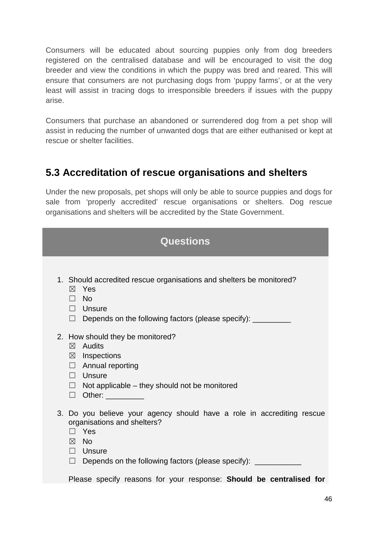Consumers will be educated about sourcing puppies only from dog breeders registered on the centralised database and will be encouraged to visit the dog breeder and view the conditions in which the puppy was bred and reared. This will ensure that consumers are not purchasing dogs from 'puppy farms', or at the very least will assist in tracing dogs to irresponsible breeders if issues with the puppy arise.

Consumers that purchase an abandoned or surrendered dog from a pet shop will assist in reducing the number of unwanted dogs that are either euthanised or kept at rescue or shelter facilities.

### **5.3 Accreditation of rescue organisations and shelters**

Under the new proposals, pet shops will only be able to source puppies and dogs for sale from 'properly accredited' rescue organisations or shelters. Dog rescue organisations and shelters will be accredited by the State Government.

| <b>Questions</b>                                                                                                                                                                                                                                                                                  |  |  |
|---------------------------------------------------------------------------------------------------------------------------------------------------------------------------------------------------------------------------------------------------------------------------------------------------|--|--|
| 1. Should accredited rescue organisations and shelters be monitored?<br>Yes<br>$\boxtimes$<br>$\Box$ No<br>$\Box$ Unsure<br>Depends on the following factors (please specify): __________<br>$\Box$                                                                                               |  |  |
| 2. How should they be monitored?<br>$\boxtimes$ Audits<br>$\boxtimes$ Inspections<br>$\Box$ Annual reporting<br>$\Box$ Unsure<br>$\Box$ Not applicable – they should not be monitored<br>□ Other: _________                                                                                       |  |  |
| 3. Do you believe your agency should have a role in accrediting rescue<br>organisations and shelters?<br>$\Box$ Yes<br>$\boxtimes$ No<br>$\Box$ Unsure<br>$\Box$ Depends on the following factors (please specify): $\Box$<br>Please specify reasons for your response: Should be centralised for |  |  |
|                                                                                                                                                                                                                                                                                                   |  |  |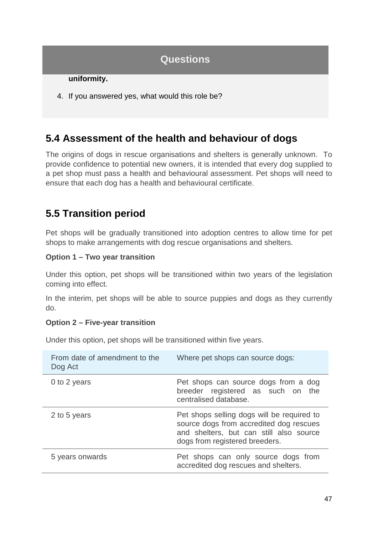#### **uniformity.**

4. If you answered yes, what would this role be?

### **5.4 Assessment of the health and behaviour of dogs**

The origins of dogs in rescue organisations and shelters is generally unknown. To provide confidence to potential new owners, it is intended that every dog supplied to a pet shop must pass a health and behavioural assessment. Pet shops will need to ensure that each dog has a health and behavioural certificate.

### **5.5 Transition period**

Pet shops will be gradually transitioned into adoption centres to allow time for pet shops to make arrangements with dog rescue organisations and shelters.

#### **Option 1 – Two year transition**

Under this option, pet shops will be transitioned within two years of the legislation coming into effect.

In the interim, pet shops will be able to source puppies and dogs as they currently do.

#### **Option 2 – Five-year transition**

Under this option, pet shops will be transitioned within five years.

| From date of amendment to the<br>Dog Act | Where pet shops can source dogs:                                                                                                                                   |
|------------------------------------------|--------------------------------------------------------------------------------------------------------------------------------------------------------------------|
| 0 to 2 years                             | Pet shops can source dogs from a dog<br>breeder registered as such on the<br>centralised database.                                                                 |
| 2 to 5 years                             | Pet shops selling dogs will be required to<br>source dogs from accredited dog rescues<br>and shelters, but can still also source<br>dogs from registered breeders. |
| 5 years onwards                          | Pet shops can only source dogs from<br>accredited dog rescues and shelters.                                                                                        |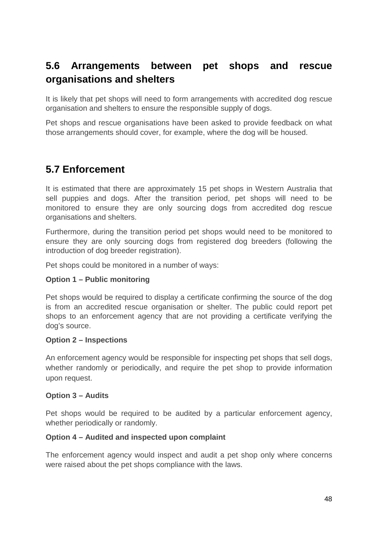### **5.6 Arrangements between pet shops and rescue organisations and shelters**

It is likely that pet shops will need to form arrangements with accredited dog rescue organisation and shelters to ensure the responsible supply of dogs.

Pet shops and rescue organisations have been asked to provide feedback on what those arrangements should cover, for example, where the dog will be housed.

### **5.7 Enforcement**

It is estimated that there are approximately 15 pet shops in Western Australia that sell puppies and dogs. After the transition period, pet shops will need to be monitored to ensure they are only sourcing dogs from accredited dog rescue organisations and shelters.

Furthermore, during the transition period pet shops would need to be monitored to ensure they are only sourcing dogs from registered dog breeders (following the introduction of dog breeder registration).

Pet shops could be monitored in a number of ways:

#### **Option 1 – Public monitoring**

Pet shops would be required to display a certificate confirming the source of the dog is from an accredited rescue organisation or shelter. The public could report pet shops to an enforcement agency that are not providing a certificate verifying the dog's source.

#### **Option 2 – Inspections**

An enforcement agency would be responsible for inspecting pet shops that sell dogs, whether randomly or periodically, and require the pet shop to provide information upon request.

#### **Option 3 – Audits**

Pet shops would be required to be audited by a particular enforcement agency, whether periodically or randomly.

#### **Option 4 – Audited and inspected upon complaint**

The enforcement agency would inspect and audit a pet shop only where concerns were raised about the pet shops compliance with the laws.